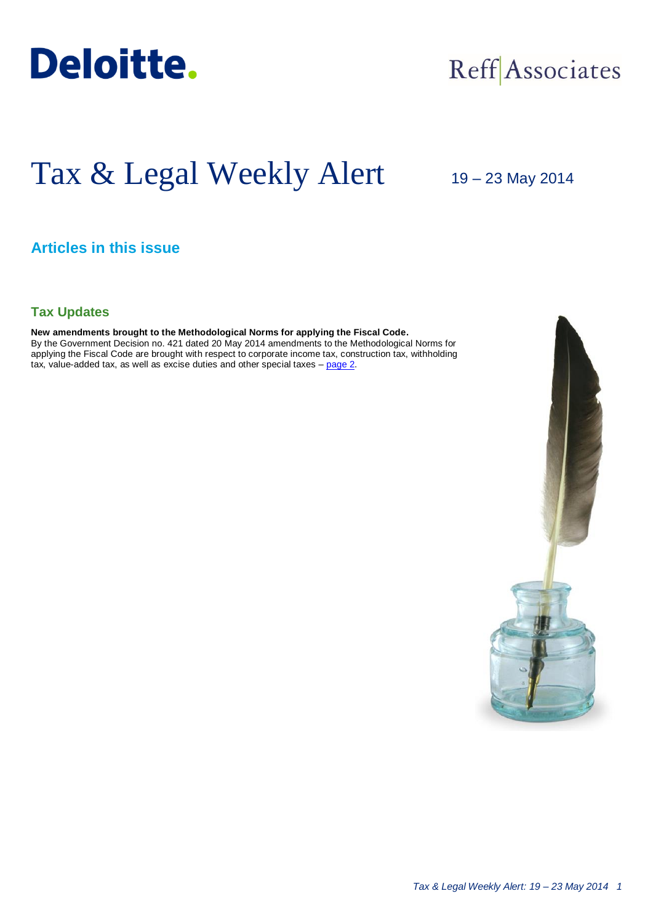

# Reff Associates

# Tax & Legal Weekly Alert

19 – 23 May 2014

# **Articles in this issue**

# **Tax Updates**

#### **New amendments brought to the Methodological Norms for applying the Fiscal Code.**

By the Government Decision no. 421 dated 20 May 2014 amendments to the Methodological Norms for applying the Fiscal Code are brought with respect to corporate income tax, construction tax, withholding tax, value-added tax, as well as excise duties and other special taxes – [page 2.](#page-1-0)

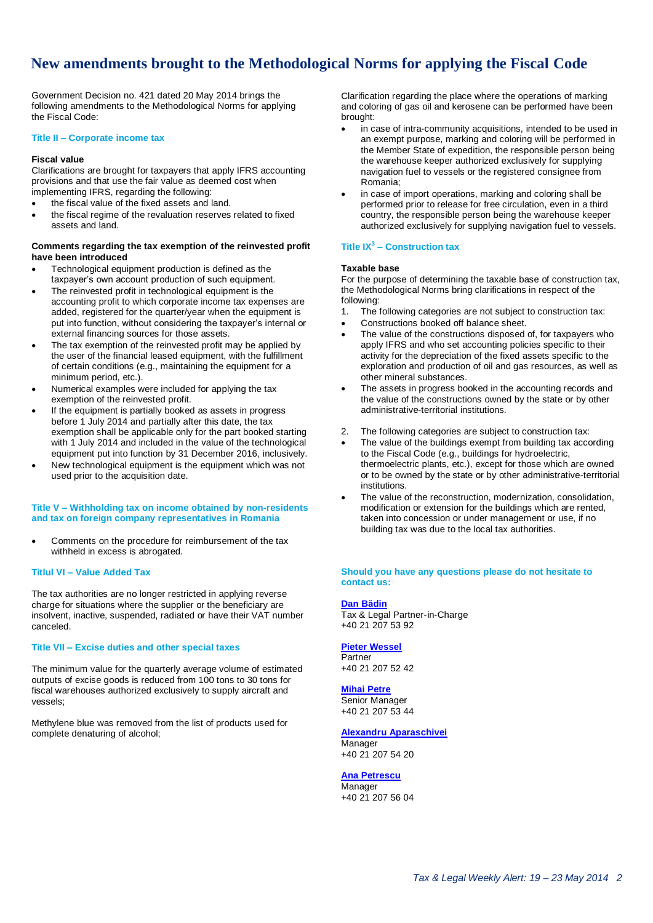# <span id="page-1-0"></span>**New amendments brought to the Methodological Norms for applying the Fiscal Code**

Government Decision no. 421 dated 20 May 2014 brings the following amendments to the Methodological Norms for applying the Fiscal Code:

#### **Title II – Corporate income tax**

#### **Fiscal value**

Clarifications are brought for taxpayers that apply IFRS accounting provisions and that use the fair value as deemed cost when implementing IFRS, regarding the following:

- the fiscal value of the fixed assets and land.
- the fiscal regime of the revaluation reserves related to fixed assets and land.

#### **Comments regarding the tax exemption of the reinvested profit have been introduced**

- Technological equipment production is defined as the taxpayer's own account production of such equipment.
- The reinvested profit in technological equipment is the accounting profit to which corporate income tax expenses are added, registered for the quarter/year when the equipment is put into function, without considering the taxpayer's internal or external financing sources for those assets.
- The tax exemption of the reinvested profit may be applied by the user of the financial leased equipment, with the fulfillment of certain conditions (e.g., maintaining the equipment for a minimum period, etc.).
- Numerical examples were included for applying the tax exemption of the reinvested profit.
- If the equipment is partially booked as assets in progress before 1 July 2014 and partially after this date, the tax exemption shall be applicable only for the part booked starting with 1 July 2014 and included in the value of the technological equipment put into function by 31 December 2016, inclusively.
- New technological equipment is the equipment which was not used prior to the acquisition date.

#### **Title V – Withholding tax on income obtained by non-residents and tax on foreign company representatives in Romania**

 Comments on the procedure for reimbursement of the tax withheld in excess is abrogated.

#### **Titlul VI – Value Added Tax**

The tax authorities are no longer restricted in applying reverse charge for situations where the supplier or the beneficiary are insolvent, inactive, suspended, radiated or have their VAT number canceled.

#### **Title VII – Excise duties and other special taxes**

The minimum value for the quarterly average volume of estimated outputs of excise goods is reduced from 100 tons to 30 tons for fiscal warehouses authorized exclusively to supply aircraft and vessels;

Methylene blue was removed from the list of products used for complete denaturing of alcohol;

Clarification regarding the place where the operations of marking and coloring of gas oil and kerosene can be performed have been brought:

- in case of intra-community acquisitions, intended to be used in an exempt purpose, marking and coloring will be performed in the Member State of expedition, the responsible person being the warehouse keeper authorized exclusively for supplying navigation fuel to vessels or the registered consignee from Romania;
- in case of import operations, marking and coloring shall be performed prior to release for free circulation, even in a third country, the responsible person being the warehouse keeper authorized exclusively for supplying navigation fuel to vessels.

### **Title IX<sup>3</sup> – Construction tax**

### **Taxable base**

For the purpose of determining the taxable base of construction tax, the Methodological Norms bring clarifications in respect of the following:

- 1. The following categories are not subject to construction tax:
- Constructions booked off balance sheet.
- The value of the constructions disposed of, for taxpayers who apply IFRS and who set accounting policies specific to their activity for the depreciation of the fixed assets specific to the exploration and production of oil and gas resources, as well as other mineral substances.
- The assets in progress booked in the accounting records and the value of the constructions owned by the state or by other administrative-territorial institutions.
- 2. The following categories are subject to construction tax:
- The value of the buildings exempt from building tax according to the Fiscal Code (e.g., buildings for hydroelectric, thermoelectric plants, etc.), except for those which are owned or to be owned by the state or by other administrative-territorial institutions.
- The value of the reconstruction, modernization, consolidation, modification or extension for the buildings which are rented, taken into concession or under management or use, if no building tax was due to the local tax authorities.

#### **Should you have any questions please do not hesitate to contact us:**

#### **[Dan Bădin](mailto:dbadin@deloittece.com)**

Tax & Legal Partner-in-Charge +40 21 207 53 92

#### **[Pieter Wessel](mailto:pwessel@deloittece.com)**

Partner +40 21 207 52 42

#### **[Mihai Petre](mailto:mipetre@deloittece.com)**

Senior Manager +40 21 207 53 44

## **[Alexandru Aparaschivei](mailto:aaparaschivei@deloittece.com)**

Manager +40 21 207 54 20

## **[Ana Petrescu](mailto:apetrescu@deloittece.com)**

Manager +40 21 207 56 04